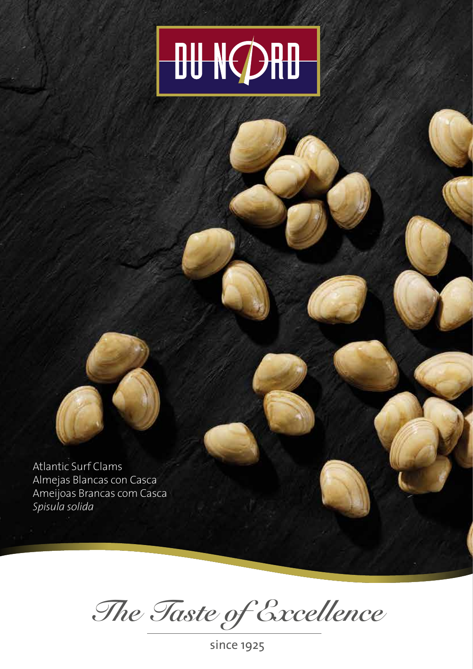



*The Taste of Excellence*

since 1925